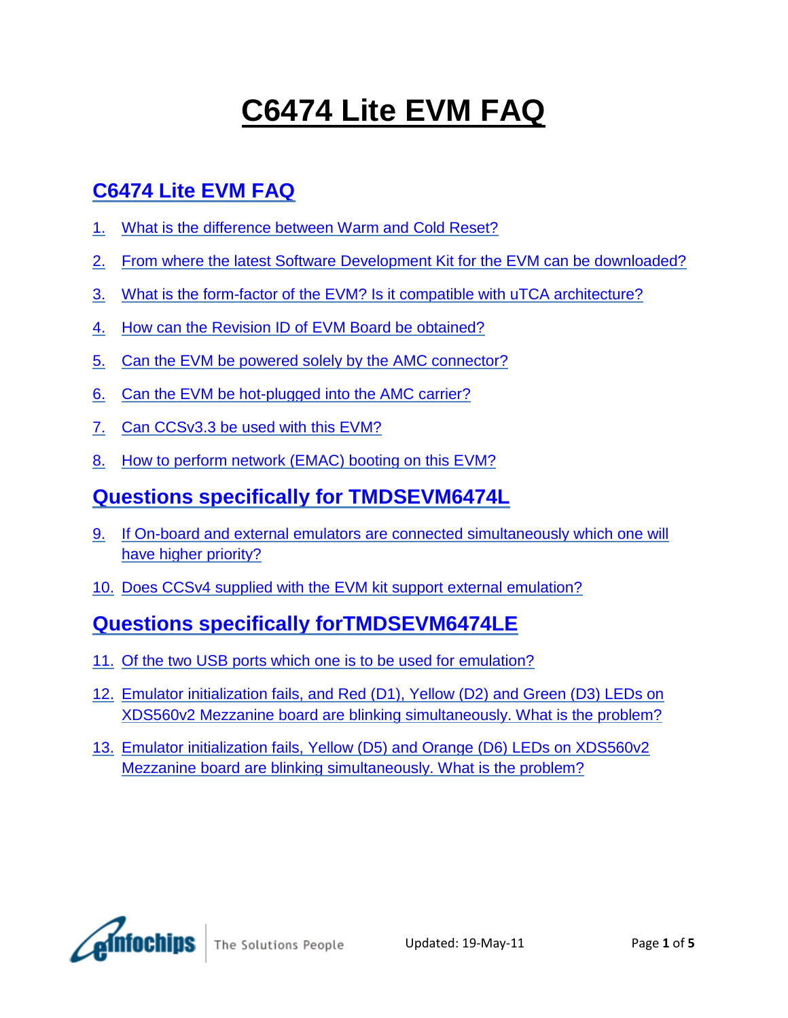# **C6474 Lite EVM FAQ**

# **[C6474 Lite EVM FAQ](#page-1-0)**

- 1. [What is the difference between Warm and Cold Reset?](#page-1-1)
- 2. [From where the latest Software Development Kit for the EVM can be downloaded?](#page-1-2)
- 3. [What is the form-factor of the EVM? Is it compatible with uTCA architecture?](#page-1-3)
- 4. [How can the Revision ID of EVM Board be obtained?](#page-1-4)
- 5. [Can the EVM be powered solely by the AMC connector?](#page-1-5)
- 6. [Can the EVM be hot-plugged into the AMC carrier?](#page-2-0)
- 7. [Can CCSv3.3 be used with this EVM?](#page-2-1)
- 8. [How to perform network \(EMAC\) booting on this EVM?](#page-2-2)

### **[Questions specifically for TMDSEVM6474L](#page-2-3)**

- 9. [If On-board and external emulators are connected simultaneously which one will](#page-3-0)  [have higher priority?](#page-3-0)
- 10. [Does CCSv4 supplied with the EVM kit support external emulation?](#page-3-1)

### **[Questions specifically forTMDSEVM6474LE](#page-3-2)**

- 11. [Of the two USB ports which one is to be used for emulation?](#page-3-3)
- 12. [Emulator initialization fails, and Red \(D1\), Yellow \(D2\) and Green \(D3\) LEDs on](#page-3-4)  [XDS560v2 Mezzanine board are blinking simultaneously. What is the problem?](#page-3-4)
- 13. [Emulator initialization fails, Yellow \(D5\) and Orange \(D6\) LEDs on XDS560v2](#page-3-5)  [Mezzanine board are blinking simultaneously. What is the problem?](#page-3-5)



The Solutions People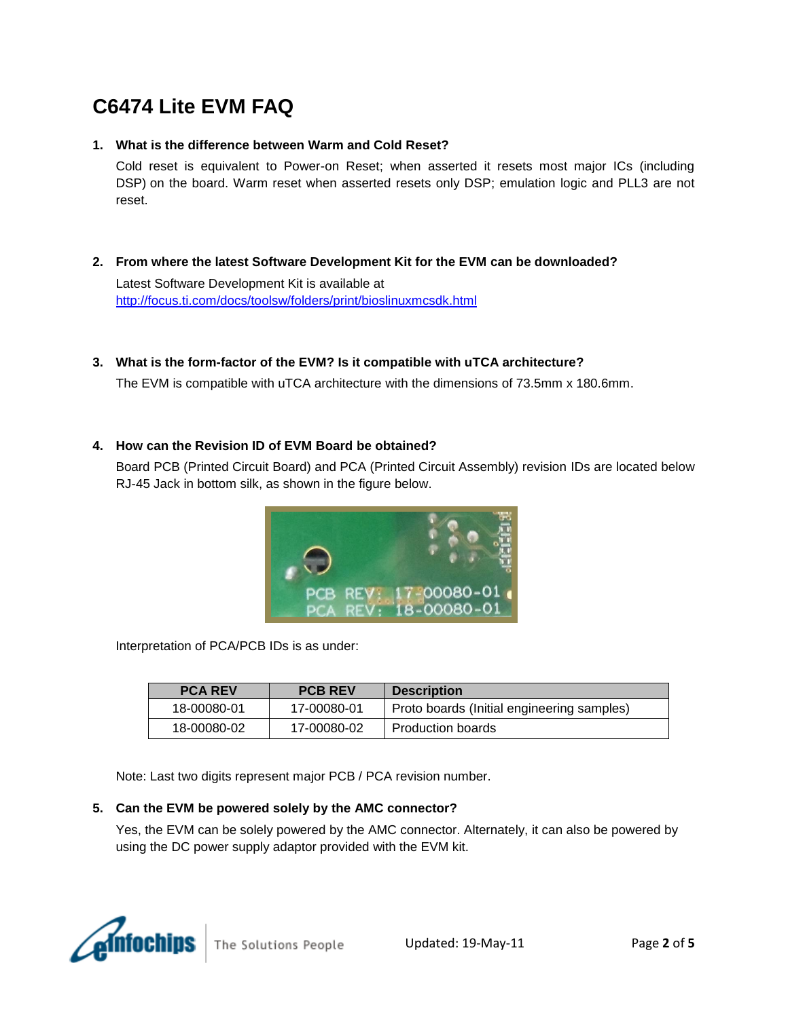# <span id="page-1-0"></span>**C6474 Lite EVM FAQ**

#### <span id="page-1-1"></span>**1. What is the difference between Warm and Cold Reset?**

Cold reset is equivalent to Power-on Reset; when asserted it resets most major ICs (including DSP) on the board. Warm reset when asserted resets only DSP; emulation logic and PLL3 are not reset.

<span id="page-1-2"></span>**2. From where the latest Software Development Kit for the EVM can be downloaded?**

Latest Software Development Kit is available at <http://focus.ti.com/docs/toolsw/folders/print/bioslinuxmcsdk.html>

<span id="page-1-3"></span>**3. What is the form-factor of the EVM? Is it compatible with uTCA architecture?**

The EVM is compatible with uTCA architecture with the dimensions of 73.5mm x 180.6mm.

#### <span id="page-1-4"></span>**4. How can the Revision ID of EVM Board be obtained?**

Board PCB (Printed Circuit Board) and PCA (Printed Circuit Assembly) revision IDs are located below RJ-45 Jack in bottom silk, as shown in the figure below.



Interpretation of PCA/PCB IDs is as under:

| <b>PCA REV</b> | <b>PCB REV</b> | <b>Description</b>                         |
|----------------|----------------|--------------------------------------------|
| 18-00080-01    | 17-00080-01    | Proto boards (Initial engineering samples) |
| 18-00080-02    | 17-00080-02    | Production boards                          |

Note: Last two digits represent major PCB / PCA revision number.

#### <span id="page-1-5"></span>**5. Can the EVM be powered solely by the AMC connector?**

Yes, the EVM can be solely powered by the AMC connector. Alternately, it can also be powered by using the DC power supply adaptor provided with the EVM kit.

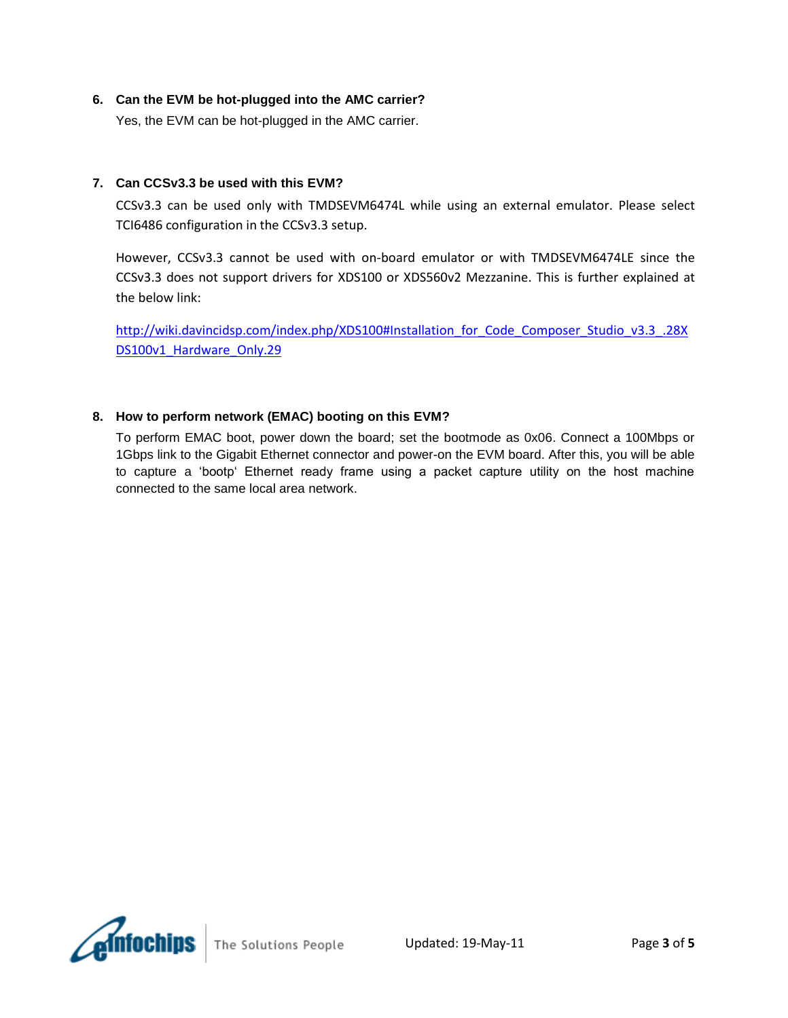#### <span id="page-2-0"></span>**6. Can the EVM be hot-plugged into the AMC carrier?**

Yes, the EVM can be hot-plugged in the AMC carrier.

#### <span id="page-2-1"></span>**7. Can CCSv3.3 be used with this EVM?**

CCSv3.3 can be used only with TMDSEVM6474L while using an external emulator. Please select TCI6486 configuration in the CCSv3.3 setup.

However, CCSv3.3 cannot be used with on-board emulator or with TMDSEVM6474LE since the CCSv3.3 does not support drivers for XDS100 or XDS560v2 Mezzanine. This is further explained at the below link:

[http://wiki.davincidsp.com/index.php/XDS100#Installation\\_for\\_Code\\_Composer\\_Studio\\_v3.3\\_.28X](http://wiki.davincidsp.com/index.php/XDS100#Installation_for_Code_Composer_Studio_v3.3_.28XDS100v1_Hardware_Only.29) DS100v1 Hardware Only.29

#### <span id="page-2-2"></span>**8. How to perform network (EMAC) booting on this EVM?**

<span id="page-2-3"></span>To perform EMAC boot, power down the board; set the bootmode as 0x06. Connect a 100Mbps or 1Gbps link to the Gigabit Ethernet connector and power-on the EVM board. After this, you will be able to capture a "bootp" Ethernet ready frame using a packet capture utility on the host machine connected to the same local area network.

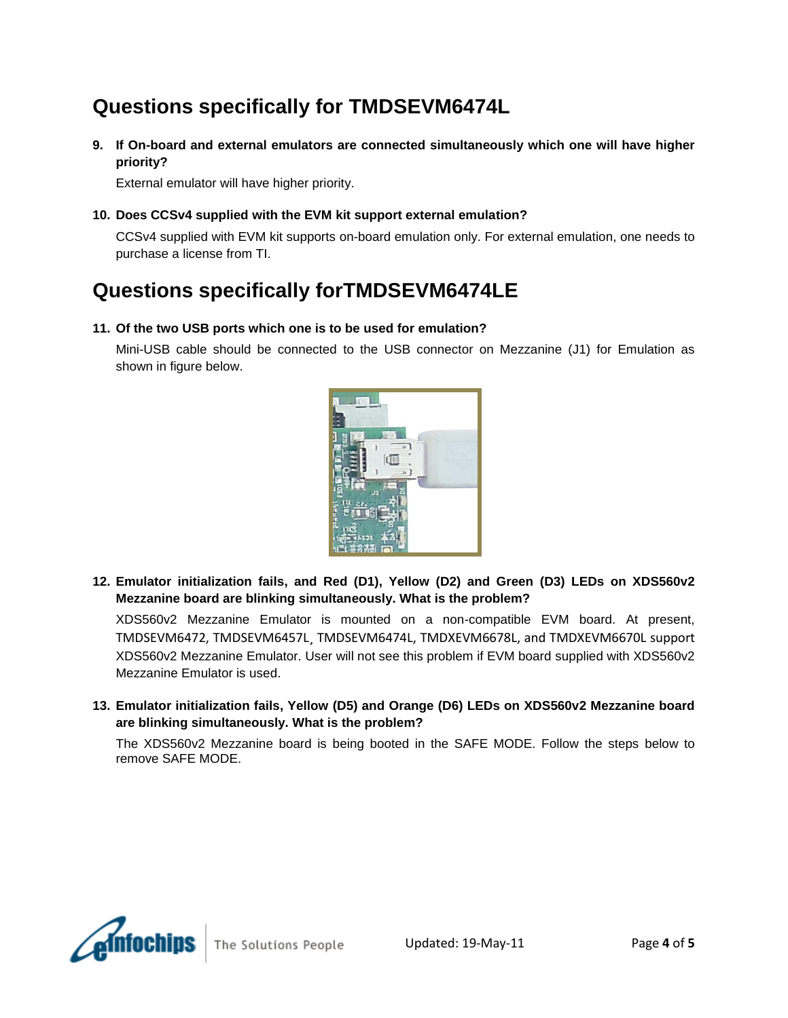# **Questions specifically for TMDSEVM6474L**

<span id="page-3-0"></span>**9. If On-board and external emulators are connected simultaneously which one will have higher priority?**

External emulator will have higher priority.

<span id="page-3-1"></span>**10. Does CCSv4 supplied with the EVM kit support external emulation?**

CCSv4 supplied with EVM kit supports on-board emulation only. For external emulation, one needs to purchase a license from TI.

### <span id="page-3-2"></span>**Questions specifically forTMDSEVM6474LE**

#### <span id="page-3-3"></span>**11. Of the two USB ports which one is to be used for emulation?**

Mini-USB cable should be connected to the USB connector on Mezzanine (J1) for Emulation as shown in figure below.



<span id="page-3-4"></span>**12. Emulator initialization fails, and Red (D1), Yellow (D2) and Green (D3) LEDs on XDS560v2 Mezzanine board are blinking simultaneously. What is the problem?**

XDS560v2 Mezzanine Emulator is mounted on a non-compatible EVM board. At present, TMDSEVM6472, TMDSEVM6457L¸ TMDSEVM6474L, TMDXEVM6678L, and TMDXEVM6670L support XDS560v2 Mezzanine Emulator. User will not see this problem if EVM board supplied with XDS560v2 Mezzanine Emulator is used.

<span id="page-3-5"></span>**13. Emulator initialization fails, Yellow (D5) and Orange (D6) LEDs on XDS560v2 Mezzanine board are blinking simultaneously. What is the problem?**

The XDS560v2 Mezzanine board is being booted in the SAFE MODE. Follow the steps below to remove SAFE MODE.



The Solutions People